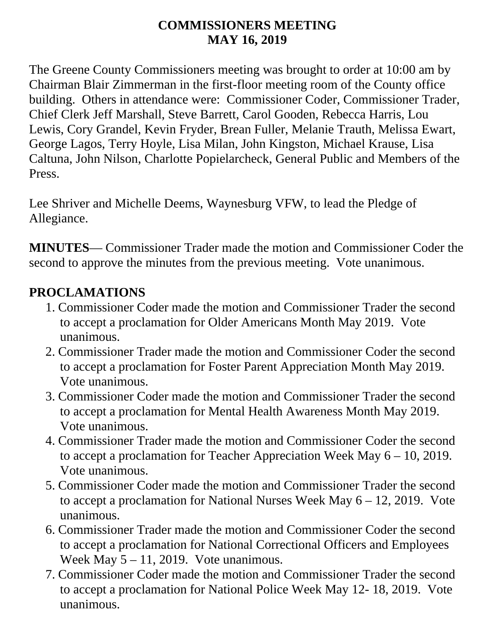#### **COMMISSIONERS MEETING MAY 16, 2019**

The Greene County Commissioners meeting was brought to order at 10:00 am by Chairman Blair Zimmerman in the first-floor meeting room of the County office building. Others in attendance were: Commissioner Coder, Commissioner Trader, Chief Clerk Jeff Marshall, Steve Barrett, Carol Gooden, Rebecca Harris, Lou Lewis, Cory Grandel, Kevin Fryder, Brean Fuller, Melanie Trauth, Melissa Ewart, George Lagos, Terry Hoyle, Lisa Milan, John Kingston, Michael Krause, Lisa Caltuna, John Nilson, Charlotte Popielarcheck, General Public and Members of the Press.

Lee Shriver and Michelle Deems, Waynesburg VFW, to lead the Pledge of Allegiance.

**MINUTES**— Commissioner Trader made the motion and Commissioner Coder the second to approve the minutes from the previous meeting. Vote unanimous.

#### **PROCLAMATIONS**

- 1. Commissioner Coder made the motion and Commissioner Trader the second to accept a proclamation for Older Americans Month May 2019. Vote unanimous.
- 2. Commissioner Trader made the motion and Commissioner Coder the second to accept a proclamation for Foster Parent Appreciation Month May 2019. Vote unanimous.
- 3. Commissioner Coder made the motion and Commissioner Trader the second to accept a proclamation for Mental Health Awareness Month May 2019. Vote unanimous.
- 4. Commissioner Trader made the motion and Commissioner Coder the second to accept a proclamation for Teacher Appreciation Week May 6 – 10, 2019. Vote unanimous.
- 5. Commissioner Coder made the motion and Commissioner Trader the second to accept a proclamation for National Nurses Week May  $6 - 12$ , 2019. Vote unanimous.
- 6. Commissioner Trader made the motion and Commissioner Coder the second to accept a proclamation for National Correctional Officers and Employees Week May  $5 - 11$ , 2019. Vote unanimous.
- 7. Commissioner Coder made the motion and Commissioner Trader the second to accept a proclamation for National Police Week May 12- 18, 2019. Vote unanimous.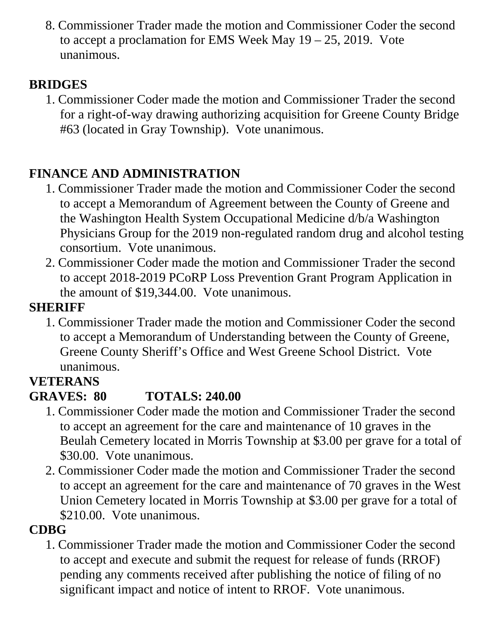8. Commissioner Trader made the motion and Commissioner Coder the second to accept a proclamation for EMS Week May 19 – 25, 2019. Vote unanimous.

#### **BRIDGES**

1. Commissioner Coder made the motion and Commissioner Trader the second for a right-of-way drawing authorizing acquisition for Greene County Bridge #63 (located in Gray Township). Vote unanimous.

## **FINANCE AND ADMINISTRATION**

- 1. Commissioner Trader made the motion and Commissioner Coder the second to accept a Memorandum of Agreement between the County of Greene and the Washington Health System Occupational Medicine d/b/a Washington Physicians Group for the 2019 non-regulated random drug and alcohol testing consortium. Vote unanimous.
- 2. Commissioner Coder made the motion and Commissioner Trader the second to accept 2018-2019 PCoRP Loss Prevention Grant Program Application in the amount of \$19,344.00. Vote unanimous.

### **SHERIFF**

1. Commissioner Trader made the motion and Commissioner Coder the second to accept a Memorandum of Understanding between the County of Greene, Greene County Sheriff's Office and West Greene School District. Vote unanimous.

# **VETERANS**

# **GRAVES: 80 TOTALS: 240.00**

- 1. Commissioner Coder made the motion and Commissioner Trader the second to accept an agreement for the care and maintenance of 10 graves in the Beulah Cemetery located in Morris Township at \$3.00 per grave for a total of \$30.00. Vote unanimous.
- 2. Commissioner Coder made the motion and Commissioner Trader the second to accept an agreement for the care and maintenance of 70 graves in the West Union Cemetery located in Morris Township at \$3.00 per grave for a total of \$210.00. Vote unanimous.

## **CDBG**

1. Commissioner Trader made the motion and Commissioner Coder the second to accept and execute and submit the request for release of funds (RROF) pending any comments received after publishing the notice of filing of no significant impact and notice of intent to RROF. Vote unanimous.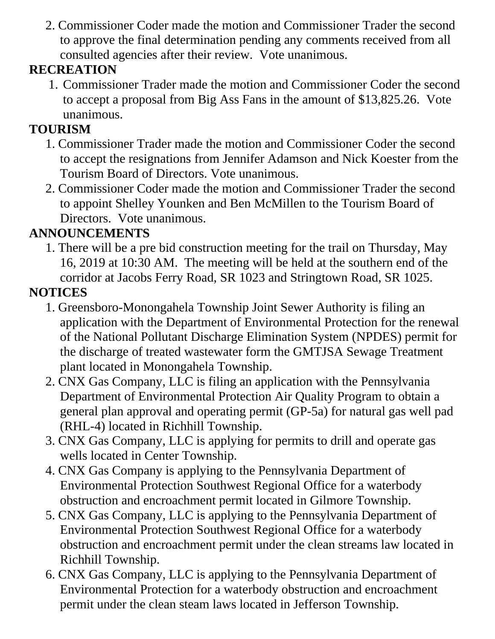2. Commissioner Coder made the motion and Commissioner Trader the second to approve the final determination pending any comments received from all consulted agencies after their review. Vote unanimous.

### **RECREATION**

1. Commissioner Trader made the motion and Commissioner Coder the second to accept a proposal from Big Ass Fans in the amount of \$13,825.26. Vote unanimous.

## **TOURISM**

- 1. Commissioner Trader made the motion and Commissioner Coder the second to accept the resignations from Jennifer Adamson and Nick Koester from the Tourism Board of Directors. Vote unanimous.
- 2. Commissioner Coder made the motion and Commissioner Trader the second to appoint Shelley Younken and Ben McMillen to the Tourism Board of Directors. Vote unanimous.

## **ANNOUNCEMENTS**

1. There will be a pre bid construction meeting for the trail on Thursday, May 16, 2019 at 10:30 AM. The meeting will be held at the southern end of the corridor at Jacobs Ferry Road, SR 1023 and Stringtown Road, SR 1025.

### **NOTICES**

- 1. Greensboro-Monongahela Township Joint Sewer Authority is filing an application with the Department of Environmental Protection for the renewal of the National Pollutant Discharge Elimination System (NPDES) permit for the discharge of treated wastewater form the GMTJSA Sewage Treatment plant located in Monongahela Township.
- 2. CNX Gas Company, LLC is filing an application with the Pennsylvania Department of Environmental Protection Air Quality Program to obtain a general plan approval and operating permit (GP-5a) for natural gas well pad (RHL-4) located in Richhill Township.
- 3. CNX Gas Company, LLC is applying for permits to drill and operate gas wells located in Center Township.
- 4. CNX Gas Company is applying to the Pennsylvania Department of Environmental Protection Southwest Regional Office for a waterbody obstruction and encroachment permit located in Gilmore Township.
- 5. CNX Gas Company, LLC is applying to the Pennsylvania Department of Environmental Protection Southwest Regional Office for a waterbody obstruction and encroachment permit under the clean streams law located in Richhill Township.
- 6. CNX Gas Company, LLC is applying to the Pennsylvania Department of Environmental Protection for a waterbody obstruction and encroachment permit under the clean steam laws located in Jefferson Township.